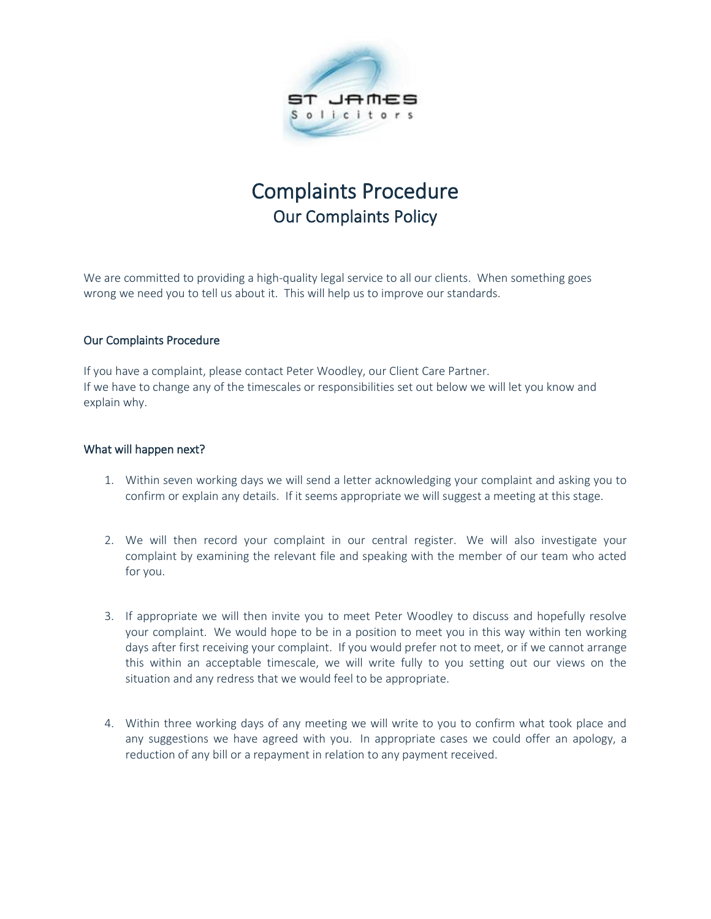

## Complaints Procedure Our Complaints Policy

We are committed to providing a high-quality legal service to all our clients. When something goes wrong we need you to tell us about it. This will help us to improve our standards.

## Our Complaints Procedure

If you have a complaint, please contact Peter Woodley, our Client Care Partner. If we have to change any of the timescales or responsibilities set out below we will let you know and explain why.

## What will happen next?

- 1. Within seven working days we will send a letter acknowledging your complaint and asking you to confirm or explain any details. If it seems appropriate we will suggest a meeting at this stage.
- 2. We will then record your complaint in our central register. We will also investigate your complaint by examining the relevant file and speaking with the member of our team who acted for you.
- 3. If appropriate we will then invite you to meet Peter Woodley to discuss and hopefully resolve your complaint. We would hope to be in a position to meet you in this way within ten working days after first receiving your complaint. If you would prefer not to meet, or if we cannot arrange this within an acceptable timescale, we will write fully to you setting out our views on the situation and any redress that we would feel to be appropriate.
- 4. Within three working days of any meeting we will write to you to confirm what took place and any suggestions we have agreed with you. In appropriate cases we could offer an apology, a reduction of any bill or a repayment in relation to any payment received.